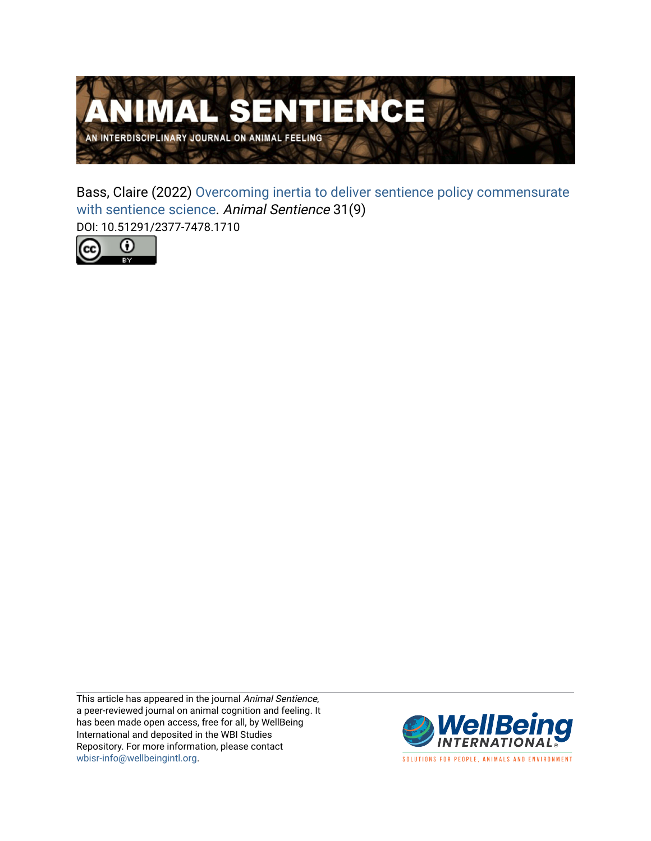

Bass, Claire (2022) [Overcoming inertia to deliver sentience policy commensurate](https://www.wellbeingintlstudiesrepository.org/animsent/vol6/iss31/9)  [with sentience science](https://www.wellbeingintlstudiesrepository.org/animsent/vol6/iss31/9). Animal Sentience 31(9) DOI: 10.51291/2377-7478.1710



This article has appeared in the journal Animal Sentience, a peer-reviewed journal on animal cognition and feeling. It has been made open access, free for all, by WellBeing International and deposited in the WBI Studies Repository. For more information, please contact [wbisr-info@wellbeingintl.org](mailto:wbisr-info@wellbeingintl.org).



SOLUTIONS FOR PEOPLE, ANIMALS AND ENVIRONMENT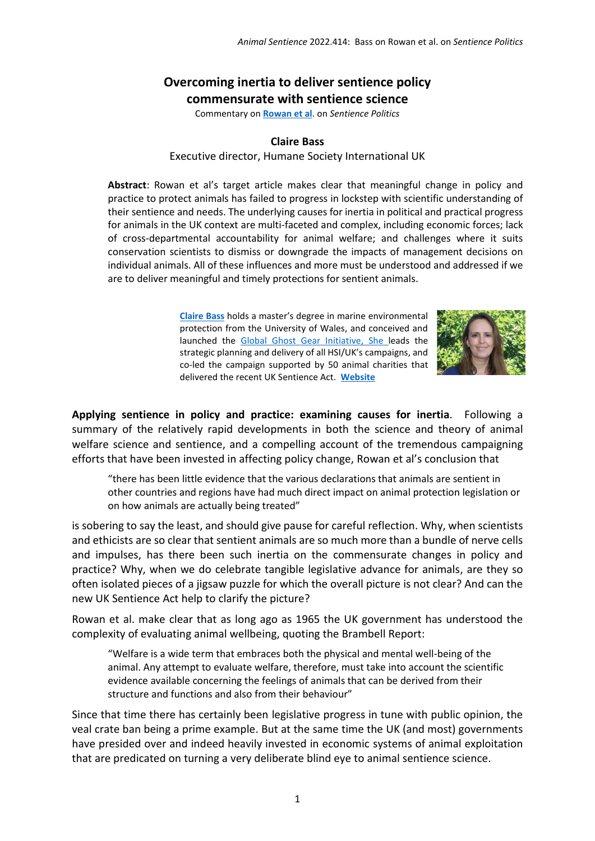## **Overcoming inertia to deliver sentience policy commensurate with sentience science**

Commentary on **[Rowan et al](https://www.wellbeingintlstudiesrepository.org/animsent/vol6/iss31/1/)**. on *Sentience Politics*

## **Claire Bass**

Executive director, Humane Society International UK

**Abstract**: Rowan et al's target article makes clear that meaningful change in policy and practice to protect animals has failed to progress in lockstep with scientific understanding of their sentience and needs. The underlying causes for inertia in political and practical progress for animals in the UK context are multi-faceted and complex, including economic forces; lack of cross-departmental accountability for animal welfare; and challenges where it suits conservation scientists to dismiss or downgrade the impacts of management decisions on individual animals. All of these influences and more must be understood and addressed if we are to deliver meaningful and timely protections for sentient animals.

> **[Claire Bass](http://cbass@hsi.org)** holds a master's degree in marine environmental protection from the University of Wales, and conceived and launched the [Global Ghost Gear Initiative,](http://www.ghostgear.org/) She leads the strategic planning and delivery of all HSI/UK's campaigns, and co-led the campaign supported by 50 animal charities that delivered the recent UK Sentience Act. **[Website](http://www.hsi.org/)**



**Applying sentience in policy and practice: examining causes for inertia**. Following a summary of the relatively rapid developments in both the science and theory of animal welfare science and sentience, and a compelling account of the tremendous campaigning efforts that have been invested in affecting policy change, Rowan et al's conclusion that

"there has been little evidence that the various declarations that animals are sentient in other countries and regions have had much direct impact on animal protection legislation or on how animals are actually being treated"

is sobering to say the least, and should give pause for careful reflection. Why, when scientists and ethicists are so clear that sentient animals are so much more than a bundle of nerve cells and impulses, has there been such inertia on the commensurate changes in policy and practice? Why, when we do celebrate tangible legislative advance for animals, are they so often isolated pieces of a jigsaw puzzle for which the overall picture is not clear? And can the new UK Sentience Act help to clarify the picture?

Rowan et al. make clear that as long ago as 1965 the UK government has understood the complexity of evaluating animal wellbeing, quoting the Brambell Report:

"Welfare is a wide term that embraces both the physical and mental well-being of the animal. Any attempt to evaluate welfare, therefore, must take into account the scientific evidence available concerning the feelings of animals that can be derived from their structure and functions and also from their behaviour"

Since that time there has certainly been legislative progress in tune with public opinion, the veal crate ban being a prime example. But at the same time the UK (and most) governments have presided over and indeed heavily invested in economic systems of animal exploitation that are predicated on turning a very deliberate blind eye to animal sentience science.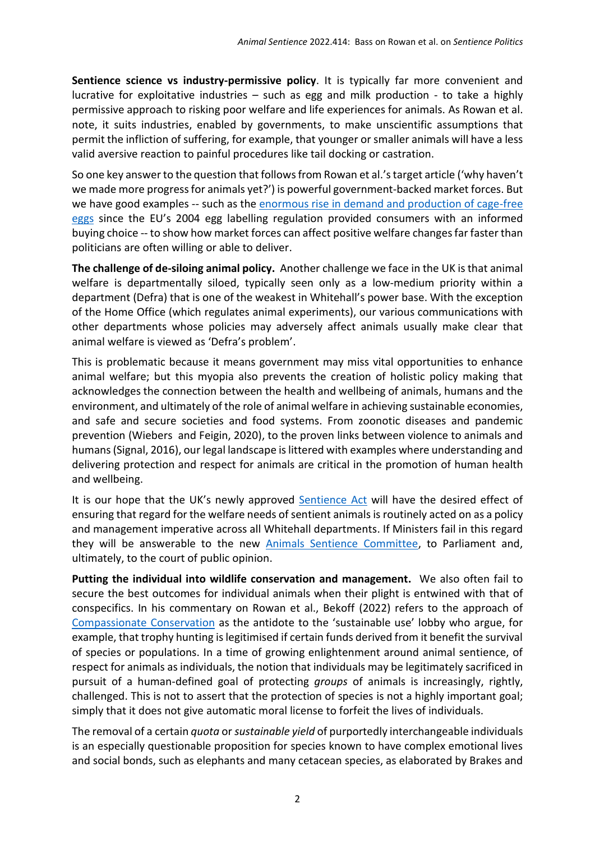**Sentience science vs industry-permissive policy**. It is typically far more convenient and lucrative for exploitative industries – such as egg and milk production - to take a highly permissive approach to risking poor welfare and life experiences for animals. As Rowan et al. note, it suits industries, enabled by governments, to make unscientific assumptions that permit the infliction of suffering, for example, that younger or smaller animals will have a less valid aversive reaction to painful procedures like tail docking or castration.

So one key answer to the question that follows from Rowan et al.'s target article ('why haven't we made more progress for animals yet?') is powerful government-backed market forces. But we have good examples -- such as the [enormous rise in demand and production of cage-free](https://www.ciwf.org.uk/media/7447947/2021_eggtrack_report_final.pdf)  [eggs](https://www.ciwf.org.uk/media/7447947/2021_eggtrack_report_final.pdf) since the EU's 2004 egg labelling regulation provided consumers with an informed buying choice -- to show how market forces can affect positive welfare changes far faster than politicians are often willing or able to deliver.

**The challenge of de-siloing animal policy.** Another challenge we face in the UK is that animal welfare is departmentally siloed, typically seen only as a low-medium priority within a department (Defra) that is one of the weakest in Whitehall's power base. With the exception of the Home Office (which regulates animal experiments), our various communications with other departments whose policies may adversely affect animals usually make clear that animal welfare is viewed as 'Defra's problem'.

This is problematic because it means government may miss vital opportunities to enhance animal welfare; but this myopia also prevents the creation of holistic policy making that acknowledges the connection between the health and wellbeing of animals, humans and the environment, and ultimately of the role of animal welfare in achieving sustainable economies, and safe and secure societies and food systems. From zoonotic diseases and pandemic prevention (Wiebers and Feigin, 2020), to the proven links between violence to animals and humans(Signal, 2016), our legal landscape is littered with examples where understanding and delivering protection and respect for animals are critical in the promotion of human health and wellbeing.

It is our hope that the UK's newly approved [Sentience Act](https://bills.parliament.uk/bills/2867) will have the desired effect of ensuring that regard for the welfare needs of sentient animals is routinely acted on as a policy and management imperative across all Whitehall departments. If Ministers fail in this regard they will be answerable to the new **Animals Sentience Committee**, to Parliament and, ultimately, to the court of public opinion.

**Putting the individual into wildlife conservation and management.** We also often fail to secure the best outcomes for individual animals when their plight is entwined with that of conspecifics. In his commentary on Rowan et al., Bekoff (2022) refers to the approach of [Compassionate Conservation](https://www.psychologytoday.com/gb/blog/animal-emotions/202005/compassionate-conservation-sentience-and-personhood) as the antidote to the 'sustainable use' lobby who argue, for example, that trophy hunting is legitimised if certain funds derived from it benefit the survival of species or populations. In a time of growing enlightenment around animal sentience, of respect for animals as individuals, the notion that individuals may be legitimately sacrificed in pursuit of a human-defined goal of protecting *groups* of animals is increasingly, rightly, challenged. This is not to assert that the protection of species is not a highly important goal; simply that it does not give automatic moral license to forfeit the lives of individuals.

The removal of a certain *quota* or*sustainable yield* of purportedly interchangeable individuals is an especially questionable proposition for species known to have complex emotional lives and social bonds, such as elephants and many cetacean species, as elaborated by Brakes and